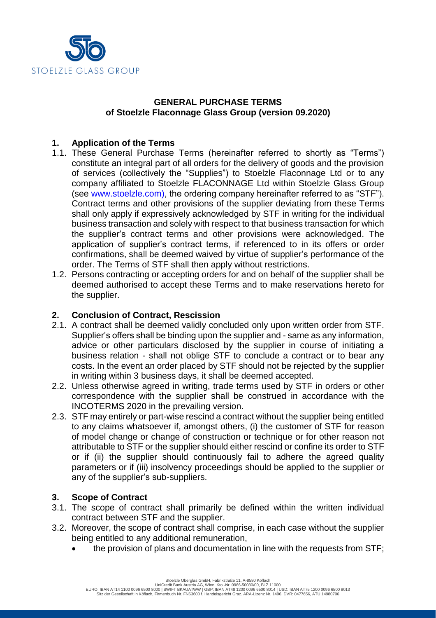

## **GENERAL PURCHASE TERMS of Stoelzle Flaconnage Glass Group (version 09.2020)**

# **1. Application of the Terms**

- 1.1. These General Purchase Terms (hereinafter referred to shortly as "Terms") constitute an integral part of all orders for the delivery of goods and the provision of services (collectively the "Supplies") to Stoelzle Flaconnage Ltd or to any company affiliated to Stoelzle FLACONNAGE Ltd within Stoelzle Glass Group (see [www.stoelzle.com\)](http://www.stoelzle.com/), the ordering company hereinafter referred to as "STF"). Contract terms and other provisions of the supplier deviating from these Terms shall only apply if expressively acknowledged by STF in writing for the individual business transaction and solely with respect to that business transaction for which the supplier's contract terms and other provisions were acknowledged. The application of supplier's contract terms, if referenced to in its offers or order confirmations, shall be deemed waived by virtue of supplier's performance of the order. The Terms of STF shall then apply without restrictions.
- 1.2. Persons contracting or accepting orders for and on behalf of the supplier shall be deemed authorised to accept these Terms and to make reservations hereto for the supplier.

# **2. Conclusion of Contract, Rescission**

- 2.1. A contract shall be deemed validly concluded only upon written order from STF. Supplier's offers shall be binding upon the supplier and - same as any information, advice or other particulars disclosed by the supplier in course of initiating a business relation - shall not oblige STF to conclude a contract or to bear any costs. In the event an order placed by STF should not be rejected by the supplier in writing within 3 business days, it shall be deemed accepted.
- 2.2. Unless otherwise agreed in writing, trade terms used by STF in orders or other correspondence with the supplier shall be construed in accordance with the INCOTERMS 2020 in the prevailing version.
- 2.3. STF may entirely or part-wise rescind a contract without the supplier being entitled to any claims whatsoever if, amongst others, (i) the customer of STF for reason of model change or change of construction or technique or for other reason not attributable to STF or the supplier should either rescind or confine its order to STF or if (ii) the supplier should continuously fail to adhere the agreed quality parameters or if (iii) insolvency proceedings should be applied to the supplier or any of the supplier's sub-suppliers.

### **3. Scope of Contract**

- 3.1. The scope of contract shall primarily be defined within the written individual contract between STF and the supplier.
- 3.2. Moreover, the scope of contract shall comprise, in each case without the supplier being entitled to any additional remuneration,
	- the provision of plans and documentation in line with the requests from STF;

Stoelzle Oberglas GmbH, Fabrikstraße 11, A-8580 Köflach<br>UniCredit Bank Austria AG, Wien, Kto.-Nr. 0966-50080/00, BLZ 11000<br>EURO: IBAN AT14 1100 0096 6500 8000 | SWIFT BKAUATWN | GBP: IBAN AT48 1200 0096 6500 8014 | USD: IB Sitz der Gesellschaft in Köflach, Firmenbuch Nr. FN63600 f. Handelsgericht Graz. ARA-Lizenz Nr. 1496, DVR: 0477656, ATU 14980706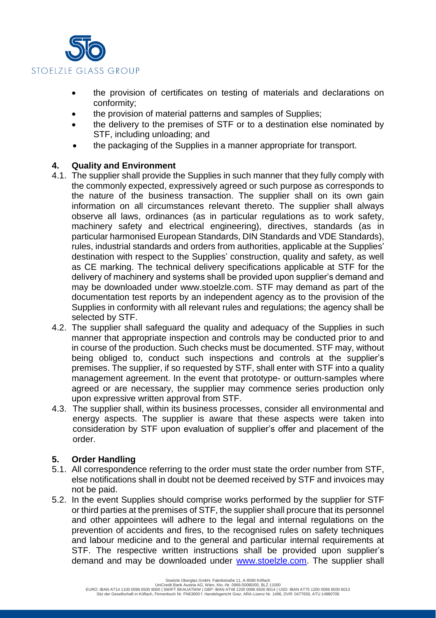

- the provision of certificates on testing of materials and declarations on conformity;
- the provision of material patterns and samples of Supplies;
- the delivery to the premises of STF or to a destination else nominated by STF, including unloading; and
- the packaging of the Supplies in a manner appropriate for transport.

# **4. Quality and Environment**

- 4.1. The supplier shall provide the Supplies in such manner that they fully comply with the commonly expected, expressively agreed or such purpose as corresponds to the nature of the business transaction. The supplier shall on its own gain information on all circumstances relevant thereto. The supplier shall always observe all laws, ordinances (as in particular regulations as to work safety, machinery safety and electrical engineering), directives, standards (as in particular harmonised European Standards, DIN Standards and VDE Standards), rules, industrial standards and orders from authorities, applicable at the Supplies' destination with respect to the Supplies' construction, quality and safety, as well as CE marking. The technical delivery specifications applicable at STF for the delivery of machinery and systems shall be provided upon supplier's demand and may be downloaded under www.stoelzle.com. STF may demand as part of the documentation test reports by an independent agency as to the provision of the Supplies in conformity with all relevant rules and regulations; the agency shall be selected by STF.
- 4.2. The supplier shall safeguard the quality and adequacy of the Supplies in such manner that appropriate inspection and controls may be conducted prior to and in course of the production. Such checks must be documented. STF may, without being obliged to, conduct such inspections and controls at the supplier's premises. The supplier, if so requested by STF, shall enter with STF into a quality management agreement. In the event that prototype- or outturn-samples where agreed or are necessary, the supplier may commence series production only upon expressive written approval from STF.
- 4.3. The supplier shall, within its business processes, consider all environmental and energy aspects. The supplier is aware that these aspects were taken into consideration by STF upon evaluation of supplier's offer and placement of the order.

# **5. Order Handling**

- 5.1. All correspondence referring to the order must state the order number from STF, else notifications shall in doubt not be deemed received by STF and invoices may not be paid.
- 5.2. In the event Supplies should comprise works performed by the supplier for STF or third parties at the premises of STF, the supplier shall procure that its personnel and other appointees will adhere to the legal and internal regulations on the prevention of accidents and fires, to the recognised rules on safety techniques and labour medicine and to the general and particular internal requirements at STF. The respective written instructions shall be provided upon supplier's demand and may be downloaded under [www.stoelzle.com.](http://www.stoelzle.com/) The supplier shall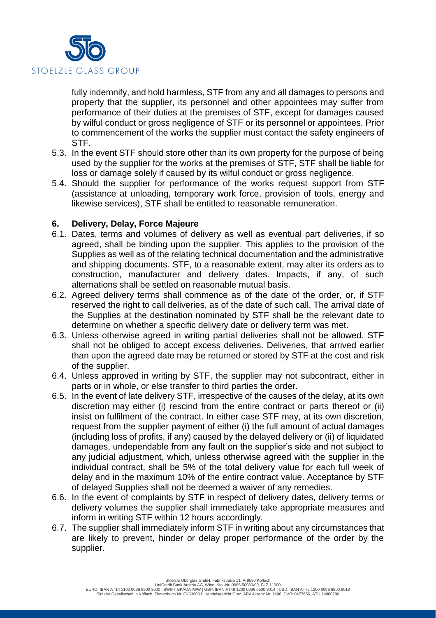

fully indemnify, and hold harmless, STF from any and all damages to persons and property that the supplier, its personnel and other appointees may suffer from performance of their duties at the premises of STF, except for damages caused by wilful conduct or gross negligence of STF or its personnel or appointees. Prior to commencement of the works the supplier must contact the safety engineers of STF.

- 5.3. In the event STF should store other than its own property for the purpose of being used by the supplier for the works at the premises of STF, STF shall be liable for loss or damage solely if caused by its wilful conduct or gross negligence.
- 5.4. Should the supplier for performance of the works request support from STF (assistance at unloading, temporary work force, provision of tools, energy and likewise services), STF shall be entitled to reasonable remuneration.

# **6. Delivery, Delay, Force Majeure**

- 6.1. Dates, terms and volumes of delivery as well as eventual part deliveries, if so agreed, shall be binding upon the supplier. This applies to the provision of the Supplies as well as of the relating technical documentation and the administrative and shipping documents. STF, to a reasonable extent, may alter its orders as to construction, manufacturer and delivery dates. Impacts, if any, of such alternations shall be settled on reasonable mutual basis.
- 6.2. Agreed delivery terms shall commence as of the date of the order, or, if STF reserved the right to call deliveries, as of the date of such call. The arrival date of the Supplies at the destination nominated by STF shall be the relevant date to determine on whether a specific delivery date or delivery term was met.
- 6.3. Unless otherwise agreed in writing partial deliveries shall not be allowed. STF shall not be obliged to accept excess deliveries. Deliveries, that arrived earlier than upon the agreed date may be returned or stored by STF at the cost and risk of the supplier.
- 6.4. Unless approved in writing by STF, the supplier may not subcontract, either in parts or in whole, or else transfer to third parties the order.
- 6.5. In the event of late delivery STF, irrespective of the causes of the delay, at its own discretion may either (i) rescind from the entire contract or parts thereof or (ii) insist on fulfilment of the contract. In either case STF may, at its own discretion, request from the supplier payment of either (i) the full amount of actual damages (including loss of profits, if any) caused by the delayed delivery or (ii) of liquidated damages, undependable from any fault on the supplier's side and not subject to any judicial adjustment, which, unless otherwise agreed with the supplier in the individual contract, shall be 5% of the total delivery value for each full week of delay and in the maximum 10% of the entire contract value. Acceptance by STF of delayed Supplies shall not be deemed a waiver of any remedies.
- 6.6. In the event of complaints by STF in respect of delivery dates, delivery terms or delivery volumes the supplier shall immediately take appropriate measures and inform in writing STF within 12 hours accordingly.
- 6.7. The supplier shall immediately inform STF in writing about any circumstances that are likely to prevent, hinder or delay proper performance of the order by the supplier.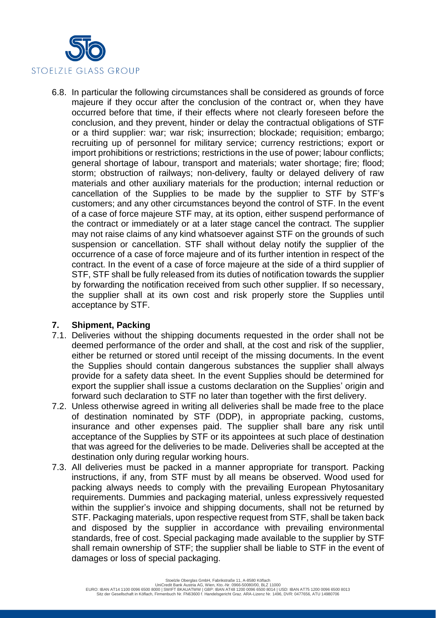

6.8. In particular the following circumstances shall be considered as grounds of force majeure if they occur after the conclusion of the contract or, when they have occurred before that time, if their effects where not clearly foreseen before the conclusion, and they prevent, hinder or delay the contractual obligations of STF or a third supplier: war; war risk; insurrection; blockade; requisition; embargo; recruiting up of personnel for military service; currency restrictions; export or import prohibitions or restrictions; restrictions in the use of power; labour conflicts; general shortage of labour, transport and materials; water shortage; fire; flood; storm; obstruction of railways; non-delivery, faulty or delayed delivery of raw materials and other auxiliary materials for the production; internal reduction or cancellation of the Supplies to be made by the supplier to STF by STF's customers; and any other circumstances beyond the control of STF. In the event of a case of force majeure STF may, at its option, either suspend performance of the contract or immediately or at a later stage cancel the contract. The supplier may not raise claims of any kind whatsoever against STF on the grounds of such suspension or cancellation. STF shall without delay notify the supplier of the occurrence of a case of force majeure and of its further intention in respect of the contract. In the event of a case of force majeure at the side of a third supplier of STF, STF shall be fully released from its duties of notification towards the supplier by forwarding the notification received from such other supplier. If so necessary, the supplier shall at its own cost and risk properly store the Supplies until acceptance by STF.

### **7. Shipment, Packing**

- 7.1. Deliveries without the shipping documents requested in the order shall not be deemed performance of the order and shall, at the cost and risk of the supplier, either be returned or stored until receipt of the missing documents. In the event the Supplies should contain dangerous substances the supplier shall always provide for a safety data sheet. In the event Supplies should be determined for export the supplier shall issue a customs declaration on the Supplies' origin and forward such declaration to STF no later than together with the first delivery.
- 7.2. Unless otherwise agreed in writing all deliveries shall be made free to the place of destination nominated by STF (DDP), in appropriate packing, customs, insurance and other expenses paid. The supplier shall bare any risk until acceptance of the Supplies by STF or its appointees at such place of destination that was agreed for the deliveries to be made. Deliveries shall be accepted at the destination only during regular working hours.
- 7.3. All deliveries must be packed in a manner appropriate for transport. Packing instructions, if any, from STF must by all means be observed. Wood used for packing always needs to comply with the prevailing European Phytosanitary requirements. Dummies and packaging material, unless expressively requested within the supplier's invoice and shipping documents, shall not be returned by STF. Packaging materials, upon respective request from STF, shall be taken back and disposed by the supplier in accordance with prevailing environmental standards, free of cost. Special packaging made available to the supplier by STF shall remain ownership of STF; the supplier shall be liable to STF in the event of damages or loss of special packaging.

Stoelzle Oberglas GmbH, Fabrikstraße 11, A-8580 Köflach UniCredit Bank Austria AG, Wien, Kto.-Nr. 0966-50080/00, BLZ 11000<br>EURO: IBAN AT14 1100 0096 6500 8000 | SWIFT BKAUATWW | GBP: IBAN AT48 1200 0096 6500 8014 | USD: IBAN AT75 1200 0096 6500 8013 Sitz der Gesellschaft in Köflach, Firmenbuch Nr. FN63600 f. Handelsgericht Graz. ARA-Lizenz Nr. 1496, DVR: 0477656, ATU 14980706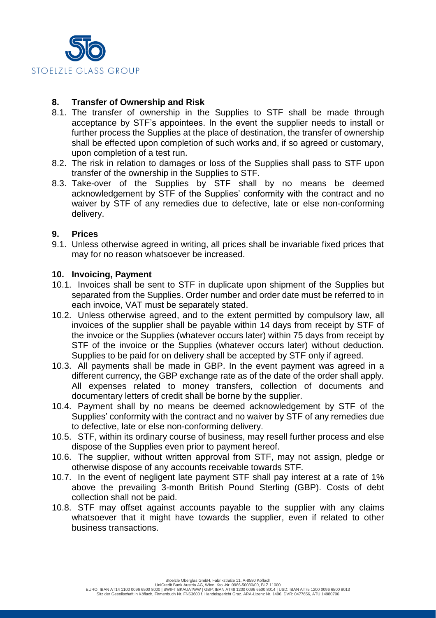

## **8. Transfer of Ownership and Risk**

- 8.1. The transfer of ownership in the Supplies to STF shall be made through acceptance by STF's appointees. In the event the supplier needs to install or further process the Supplies at the place of destination, the transfer of ownership shall be effected upon completion of such works and, if so agreed or customary, upon completion of a test run.
- 8.2. The risk in relation to damages or loss of the Supplies shall pass to STF upon transfer of the ownership in the Supplies to STF.
- 8.3. Take-over of the Supplies by STF shall by no means be deemed acknowledgement by STF of the Supplies' conformity with the contract and no waiver by STF of any remedies due to defective, late or else non-conforming delivery.

### **9. Prices**

9.1. Unless otherwise agreed in writing, all prices shall be invariable fixed prices that may for no reason whatsoever be increased.

#### **10. Invoicing, Payment**

- 10.1. Invoices shall be sent to STF in duplicate upon shipment of the Supplies but separated from the Supplies. Order number and order date must be referred to in each invoice, VAT must be separately stated.
- 10.2. Unless otherwise agreed, and to the extent permitted by compulsory law, all invoices of the supplier shall be payable within 14 days from receipt by STF of the invoice or the Supplies (whatever occurs later) within 75 days from receipt by STF of the invoice or the Supplies (whatever occurs later) without deduction. Supplies to be paid for on delivery shall be accepted by STF only if agreed.
- 10.3. All payments shall be made in GBP. In the event payment was agreed in a different currency, the GBP exchange rate as of the date of the order shall apply. All expenses related to money transfers, collection of documents and documentary letters of credit shall be borne by the supplier.
- 10.4. Payment shall by no means be deemed acknowledgement by STF of the Supplies' conformity with the contract and no waiver by STF of any remedies due to defective, late or else non-conforming delivery.
- 10.5. STF, within its ordinary course of business, may resell further process and else dispose of the Supplies even prior to payment hereof.
- 10.6. The supplier, without written approval from STF, may not assign, pledge or otherwise dispose of any accounts receivable towards STF.
- 10.7. In the event of negligent late payment STF shall pay interest at a rate of 1% above the prevailing 3-month British Pound Sterling (GBP). Costs of debt collection shall not be paid.
- 10.8. STF may offset against accounts payable to the supplier with any claims whatsoever that it might have towards the supplier, even if related to other business transactions.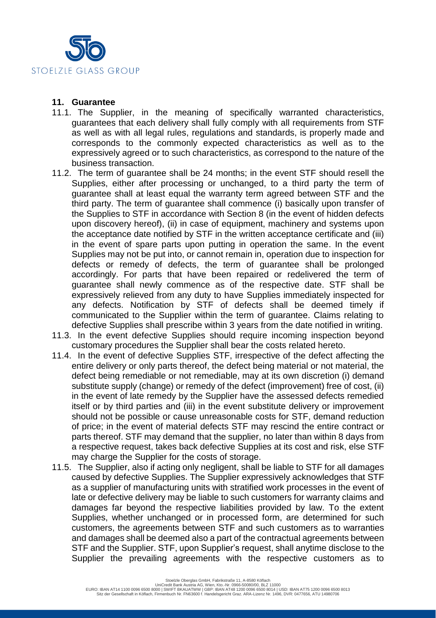

#### **11. Guarantee**

- 11.1. The Supplier, in the meaning of specifically warranted characteristics, guarantees that each delivery shall fully comply with all requirements from STF as well as with all legal rules, regulations and standards, is properly made and corresponds to the commonly expected characteristics as well as to the expressively agreed or to such characteristics, as correspond to the nature of the business transaction.
- 11.2. The term of guarantee shall be 24 months; in the event STF should resell the Supplies, either after processing or unchanged, to a third party the term of guarantee shall at least equal the warranty term agreed between STF and the third party. The term of guarantee shall commence (i) basically upon transfer of the Supplies to STF in accordance with Section 8 (in the event of hidden defects upon discovery hereof), (ii) in case of equipment, machinery and systems upon the acceptance date notified by STF in the written acceptance certificate and (iii) in the event of spare parts upon putting in operation the same. In the event Supplies may not be put into, or cannot remain in, operation due to inspection for defects or remedy of defects, the term of guarantee shall be prolonged accordingly. For parts that have been repaired or redelivered the term of guarantee shall newly commence as of the respective date. STF shall be expressively relieved from any duty to have Supplies immediately inspected for any defects. Notification by STF of defects shall be deemed timely if communicated to the Supplier within the term of guarantee. Claims relating to defective Supplies shall prescribe within 3 years from the date notified in writing.
- 11.3. In the event defective Supplies should require incoming inspection beyond customary procedures the Supplier shall bear the costs related hereto.
- 11.4. In the event of defective Supplies STF, irrespective of the defect affecting the entire delivery or only parts thereof, the defect being material or not material, the defect being remediable or not remediable, may at its own discretion (i) demand substitute supply (change) or remedy of the defect (improvement) free of cost, (ii) in the event of late remedy by the Supplier have the assessed defects remedied itself or by third parties and (iii) in the event substitute delivery or improvement should not be possible or cause unreasonable costs for STF, demand reduction of price; in the event of material defects STF may rescind the entire contract or parts thereof. STF may demand that the supplier, no later than within 8 days from a respective request, takes back defective Supplies at its cost and risk, else STF may charge the Supplier for the costs of storage.
- 11.5. The Supplier, also if acting only negligent, shall be liable to STF for all damages caused by defective Supplies. The Supplier expressively acknowledges that STF as a supplier of manufacturing units with stratified work processes in the event of late or defective delivery may be liable to such customers for warranty claims and damages far beyond the respective liabilities provided by law. To the extent Supplies, whether unchanged or in processed form, are determined for such customers, the agreements between STF and such customers as to warranties and damages shall be deemed also a part of the contractual agreements between STF and the Supplier. STF, upon Supplier's request, shall anytime disclose to the Supplier the prevailing agreements with the respective customers as to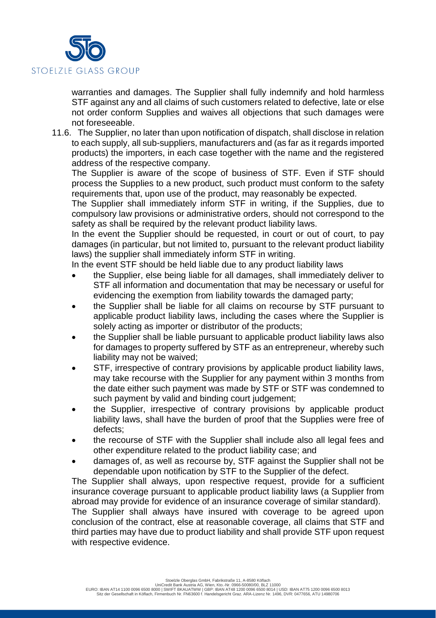

warranties and damages. The Supplier shall fully indemnify and hold harmless STF against any and all claims of such customers related to defective, late or else not order conform Supplies and waives all objections that such damages were not foreseeable.

11.6. The Supplier, no later than upon notification of dispatch, shall disclose in relation to each supply, all sub-suppliers, manufacturers and (as far as it regards imported products) the importers, in each case together with the name and the registered address of the respective company.

The Supplier is aware of the scope of business of STF. Even if STF should process the Supplies to a new product, such product must conform to the safety requirements that, upon use of the product, may reasonably be expected.

The Supplier shall immediately inform STF in writing, if the Supplies, due to compulsory law provisions or administrative orders, should not correspond to the safety as shall be required by the relevant product liability laws.

In the event the Supplier should be requested, in court or out of court, to pay damages (in particular, but not limited to, pursuant to the relevant product liability laws) the supplier shall immediately inform STF in writing.

In the event STF should be held liable due to any product liability laws

- the Supplier, else being liable for all damages, shall immediately deliver to STF all information and documentation that may be necessary or useful for evidencing the exemption from liability towards the damaged party;
- the Supplier shall be liable for all claims on recourse by STF pursuant to applicable product liability laws, including the cases where the Supplier is solely acting as importer or distributor of the products;
- the Supplier shall be liable pursuant to applicable product liability laws also for damages to property suffered by STF as an entrepreneur, whereby such liability may not be waived;
- STF, irrespective of contrary provisions by applicable product liability laws, may take recourse with the Supplier for any payment within 3 months from the date either such payment was made by STF or STF was condemned to such payment by valid and binding court judgement;
- the Supplier, irrespective of contrary provisions by applicable product liability laws, shall have the burden of proof that the Supplies were free of defects;
- the recourse of STF with the Supplier shall include also all legal fees and other expenditure related to the product liability case; and
- damages of, as well as recourse by, STF against the Supplier shall not be dependable upon notification by STF to the Supplier of the defect.

The Supplier shall always, upon respective request, provide for a sufficient insurance coverage pursuant to applicable product liability laws (a Supplier from abroad may provide for evidence of an insurance coverage of similar standard).

The Supplier shall always have insured with coverage to be agreed upon conclusion of the contract, else at reasonable coverage, all claims that STF and third parties may have due to product liability and shall provide STF upon request with respective evidence.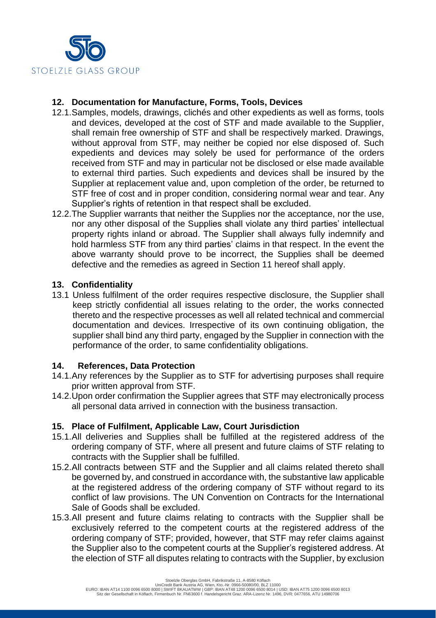

# **12. Documentation for Manufacture, Forms, Tools, Devices**

- 12.1.Samples, models, drawings, clichés and other expedients as well as forms, tools and devices, developed at the cost of STF and made available to the Supplier, shall remain free ownership of STF and shall be respectively marked. Drawings, without approval from STF, may neither be copied nor else disposed of. Such expedients and devices may solely be used for performance of the orders received from STF and may in particular not be disclosed or else made available to external third parties. Such expedients and devices shall be insured by the Supplier at replacement value and, upon completion of the order, be returned to STF free of cost and in proper condition, considering normal wear and tear. Any Supplier's rights of retention in that respect shall be excluded.
- 12.2.The Supplier warrants that neither the Supplies nor the acceptance, nor the use, nor any other disposal of the Supplies shall violate any third parties' intellectual property rights inland or abroad. The Supplier shall always fully indemnify and hold harmless STF from any third parties' claims in that respect. In the event the above warranty should prove to be incorrect, the Supplies shall be deemed defective and the remedies as agreed in Section 11 hereof shall apply.

# **13. Confidentiality**

13.1 Unless fulfilment of the order requires respective disclosure, the Supplier shall keep strictly confidential all issues relating to the order, the works connected thereto and the respective processes as well all related technical and commercial documentation and devices. Irrespective of its own continuing obligation, the supplier shall bind any third party, engaged by the Supplier in connection with the performance of the order, to same confidentiality obligations.

### **14. References, Data Protection**

- 14.1.Any references by the Supplier as to STF for advertising purposes shall require prior written approval from STF.
- 14.2.Upon order confirmation the Supplier agrees that STF may electronically process all personal data arrived in connection with the business transaction.

### **15. Place of Fulfilment, Applicable Law, Court Jurisdiction**

- 15.1.All deliveries and Supplies shall be fulfilled at the registered address of the ordering company of STF, where all present and future claims of STF relating to contracts with the Supplier shall be fulfilled.
- 15.2.All contracts between STF and the Supplier and all claims related thereto shall be governed by, and construed in accordance with, the substantive law applicable at the registered address of the ordering company of STF without regard to its conflict of law provisions. The UN Convention on Contracts for the International Sale of Goods shall be excluded.
- 15.3.All present and future claims relating to contracts with the Supplier shall be exclusively referred to the competent courts at the registered address of the ordering company of STF; provided, however, that STF may refer claims against the Supplier also to the competent courts at the Supplier's registered address. At the election of STF all disputes relating to contracts with the Supplier, by exclusion